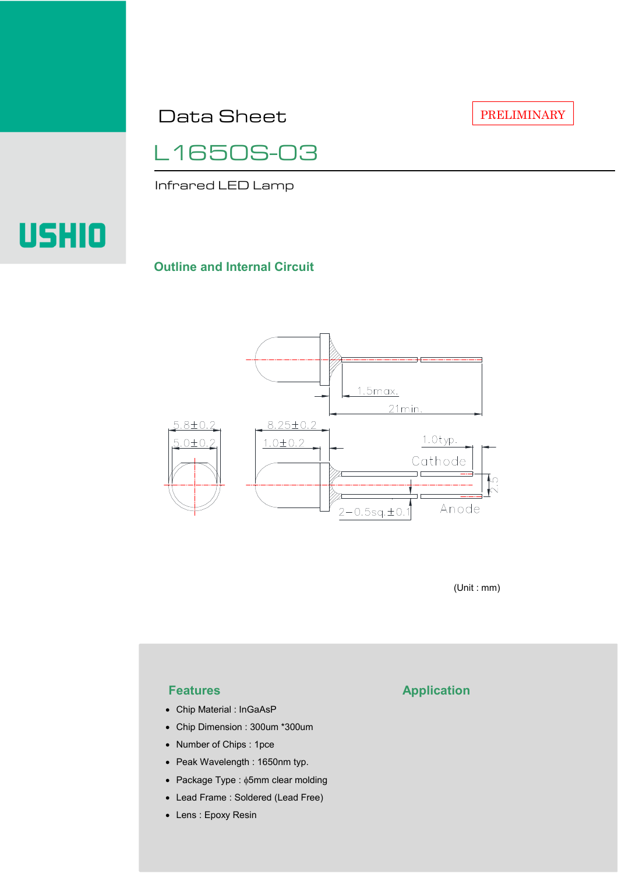Data Sheet

PRELIMINARY



Infrared LED Lamp

# USHIO

#### **Outline and Internal Circuit**



(Unit : mm)

- Chip Material : InGaAsP
- Chip Dimension : 300um \*300um
- Number of Chips : 1pce
- Peak Wavelength : 1650nm typ.
- Package Type : φ5mm clear molding
- Lead Frame : Soldered (Lead Free)
- Lens : Epoxy Resin

## **Features Application**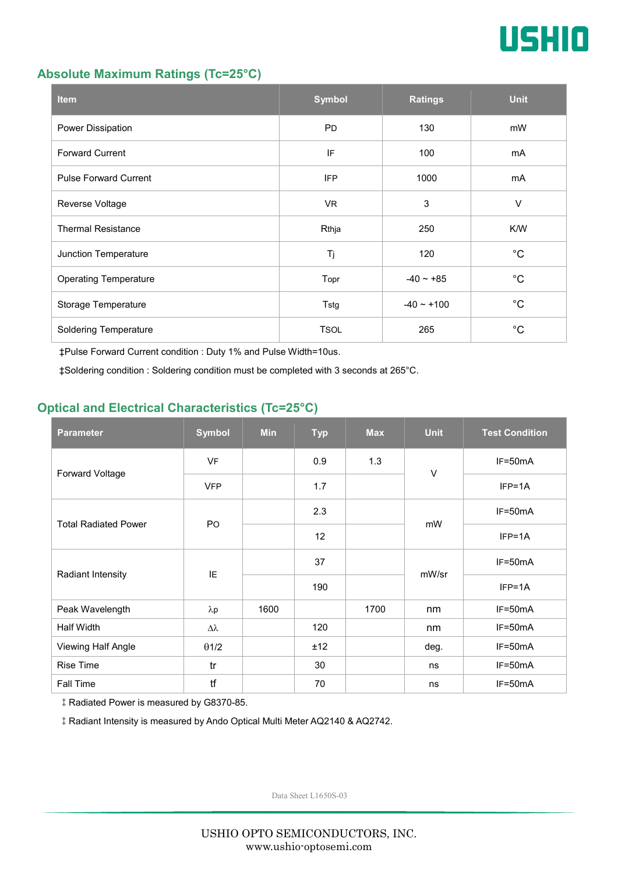

#### **Absolute Maximum Ratings (Tc=25°C)**

| <b>Item</b>                  | <b>Symbol</b> | <b>Ratings</b> | <b>Unit</b> |
|------------------------------|---------------|----------------|-------------|
| Power Dissipation            | <b>PD</b>     | 130            | mW          |
| <b>Forward Current</b>       | IF            | 100            | mA          |
| <b>Pulse Forward Current</b> | <b>IFP</b>    | 1000           | mA          |
| Reverse Voltage              | VR.           | 3              | $\vee$      |
| <b>Thermal Resistance</b>    | Rthja         | 250            | K/W         |
| Junction Temperature         | Tj            | 120            | $^{\circ}C$ |
| <b>Operating Temperature</b> | Topr          | $-40 - +85$    | $^{\circ}C$ |
| Storage Temperature          | Tstg          | $-40 - +100$   | $^{\circ}C$ |
| <b>Soldering Temperature</b> | <b>TSOL</b>   | 265            | $^{\circ}C$ |

‡Pulse Forward Current condition : Duty 1% and Pulse Width=10us.

‡Soldering condition : Soldering condition must be completed with 3 seconds at 265°C.

### **Optical and Electrical Characteristics (Tc=25°C)**

| <b>Parameter</b>            | <b>Symbol</b>    | <b>Min</b> | <b>Typ</b> | <b>Max</b> | <b>Unit</b> | <b>Test Condition</b> |
|-----------------------------|------------------|------------|------------|------------|-------------|-----------------------|
| Forward Voltage             | <b>VF</b>        |            | 0.9        | 1.3        | $\vee$      | IF=50mA               |
|                             | <b>VFP</b>       |            | 1.7        |            |             | $IFP=1A$              |
| <b>Total Radiated Power</b> | P <sub>O</sub>   |            | 2.3        |            | mW          | $IF=50mA$             |
|                             |                  |            | 12         |            |             | $IFP=1A$              |
| Radiant Intensity           | IE               |            | 37         |            | mW/sr       | $IF=50mA$             |
|                             |                  |            | 190        |            |             | $IFP=1A$              |
| Peak Wavelength             | $\lambda p$      | 1600       |            | 1700       | nm          | $IF=50mA$             |
| <b>Half Width</b>           | $\Delta \lambda$ |            | 120        |            | nm          | $IF=50mA$             |
| Viewing Half Angle          | $\theta$ 1/2     |            | ±12        |            | deg.        | $IF=50mA$             |
| Rise Time                   | tr               |            | 30         |            | ns          | $IF=50mA$             |
| Fall Time                   | tf               |            | 70         |            | ns          | $IF=50mA$             |

‡Radiated Power is measured by G8370-85.

‡Radiant Intensity is measured by Ando Optical Multi Meter AQ2140 & AQ2742.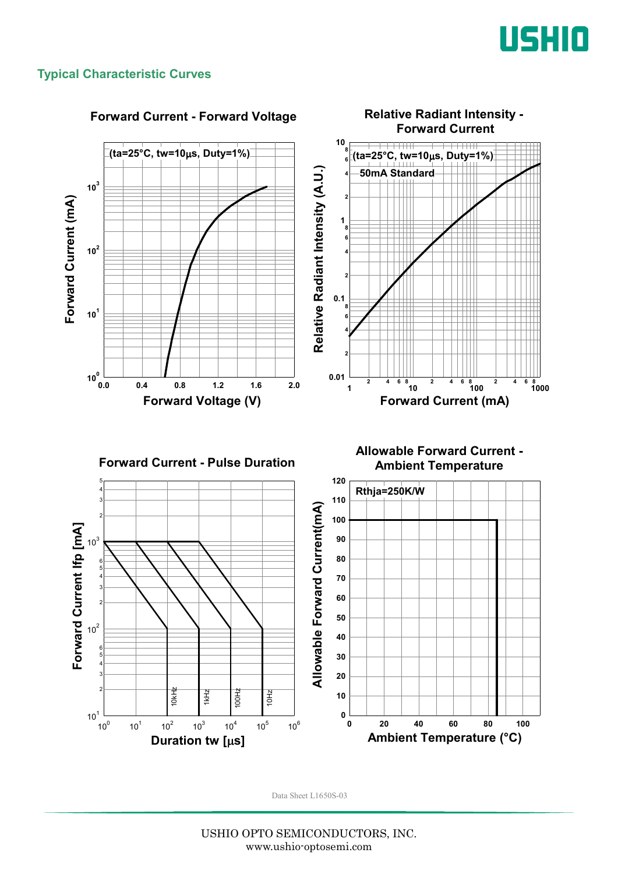

#### **Typical Characteristic Curves**

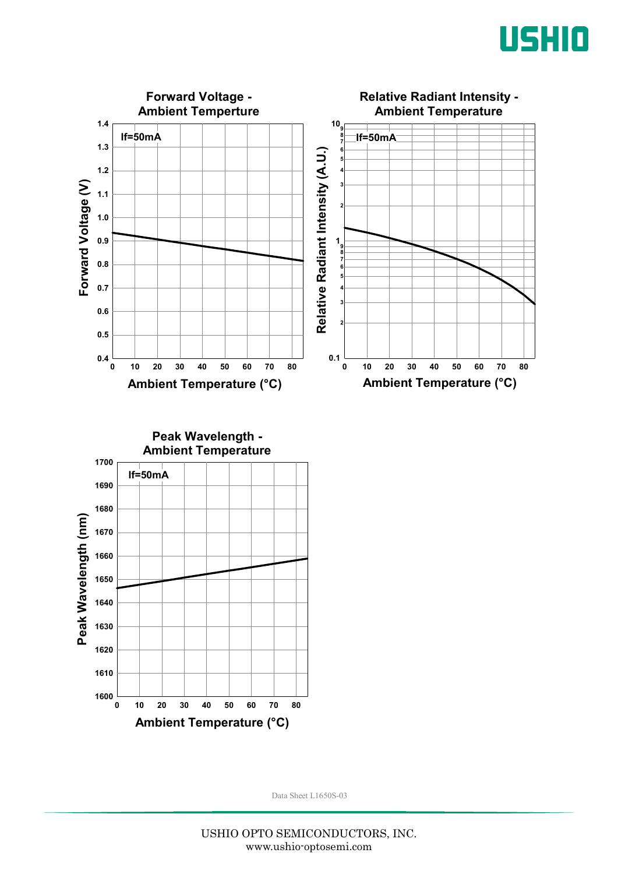



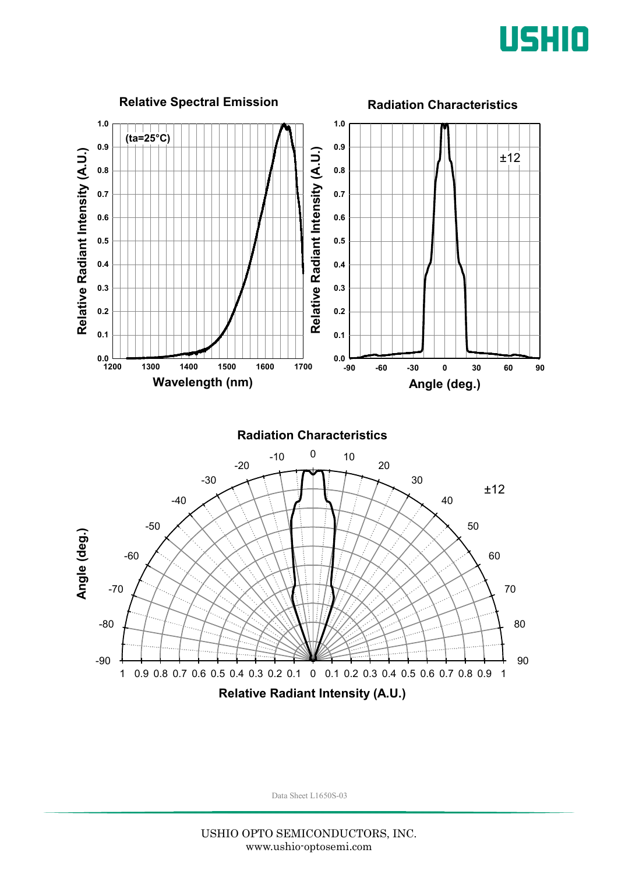